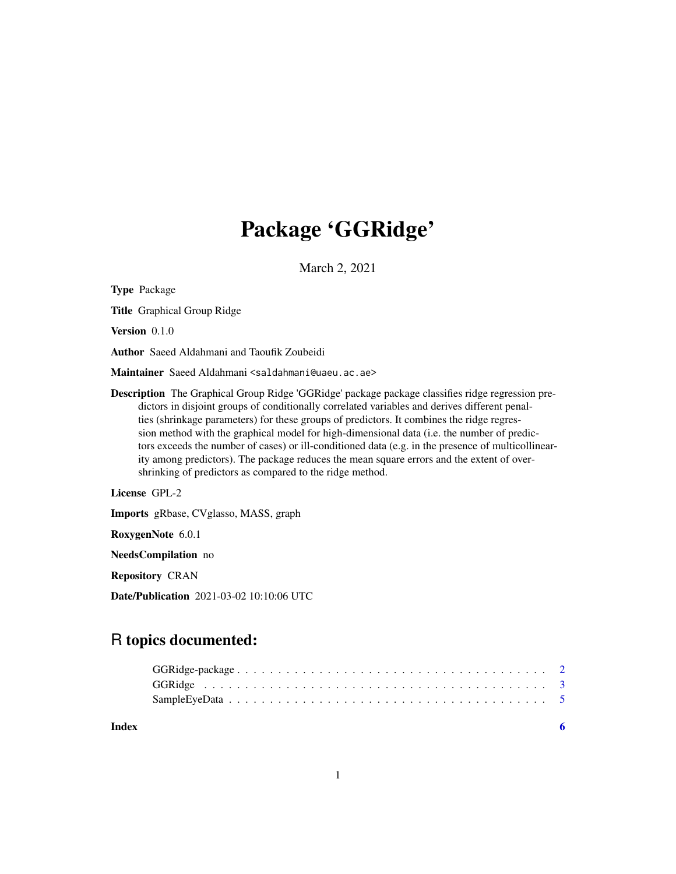## Package 'GGRidge'

March 2, 2021

Type Package

Title Graphical Group Ridge

Version 0.1.0

Author Saeed Aldahmani and Taoufik Zoubeidi

Maintainer Saeed Aldahmani <saldahmani@uaeu.ac.ae>

Description The Graphical Group Ridge 'GGRidge' package package classifies ridge regression predictors in disjoint groups of conditionally correlated variables and derives different penalties (shrinkage parameters) for these groups of predictors. It combines the ridge regression method with the graphical model for high-dimensional data (i.e. the number of predictors exceeds the number of cases) or ill-conditioned data (e.g. in the presence of multicollinearity among predictors). The package reduces the mean square errors and the extent of overshrinking of predictors as compared to the ridge method.

License GPL-2

Imports gRbase, CVglasso, MASS, graph

RoxygenNote 6.0.1

NeedsCompilation no

Repository CRAN

Date/Publication 2021-03-02 10:10:06 UTC

### R topics documented:

| Index |  |
|-------|--|
|       |  |
|       |  |
|       |  |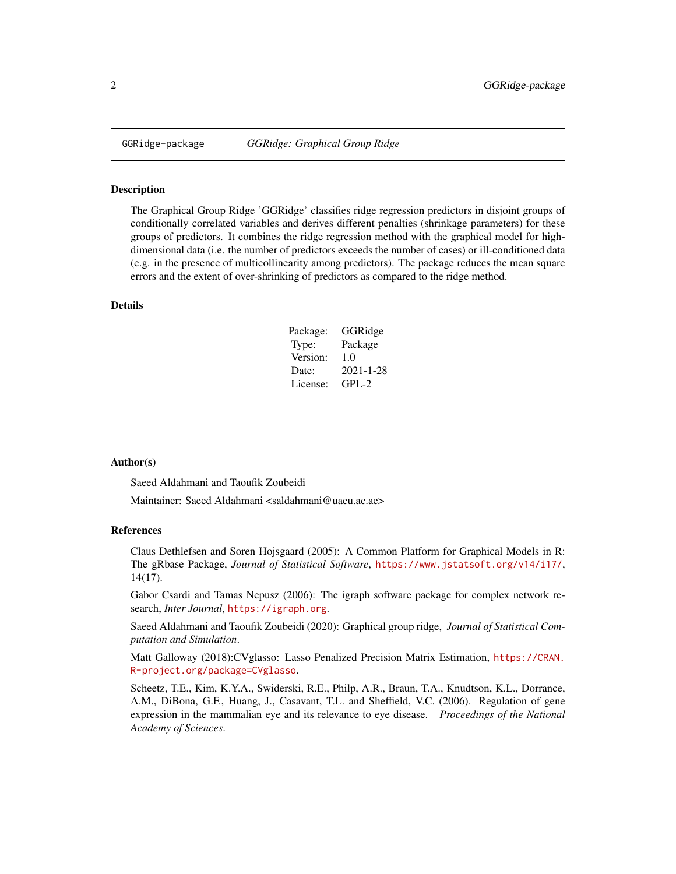<span id="page-1-0"></span>

#### Description

The Graphical Group Ridge 'GGRidge' classifies ridge regression predictors in disjoint groups of conditionally correlated variables and derives different penalties (shrinkage parameters) for these groups of predictors. It combines the ridge regression method with the graphical model for highdimensional data (i.e. the number of predictors exceeds the number of cases) or ill-conditioned data (e.g. in the presence of multicollinearity among predictors). The package reduces the mean square errors and the extent of over-shrinking of predictors as compared to the ridge method.

#### Details

| Package: | GGRidge   |
|----------|-----------|
| Type:    | Package   |
| Version: | 1.0       |
| Date:    | 2021-1-28 |
| License: | GPL-2     |

#### Author(s)

Saeed Aldahmani and Taoufik Zoubeidi

Maintainer: Saeed Aldahmani <saldahmani@uaeu.ac.ae>

#### References

Claus Dethlefsen and Soren Hojsgaard (2005): A Common Platform for Graphical Models in R: The gRbase Package, *Journal of Statistical Software*, <https://www.jstatsoft.org/v14/i17/>, 14(17).

Gabor Csardi and Tamas Nepusz (2006): The igraph software package for complex network research, *Inter Journal*, <https://igraph.org>.

Saeed Aldahmani and Taoufik Zoubeidi (2020): Graphical group ridge, *Journal of Statistical Computation and Simulation*.

Matt Galloway (2018):CVglasso: Lasso Penalized Precision Matrix Estimation, [https://CRAN.](https://CRAN.R-project.org/package=CVglasso) [R-project.org/package=CVglasso](https://CRAN.R-project.org/package=CVglasso).

Scheetz, T.E., Kim, K.Y.A., Swiderski, R.E., Philp, A.R., Braun, T.A., Knudtson, K.L., Dorrance, A.M., DiBona, G.F., Huang, J., Casavant, T.L. and Sheffield, V.C. (2006). Regulation of gene expression in the mammalian eye and its relevance to eye disease. *Proceedings of the National Academy of Sciences*.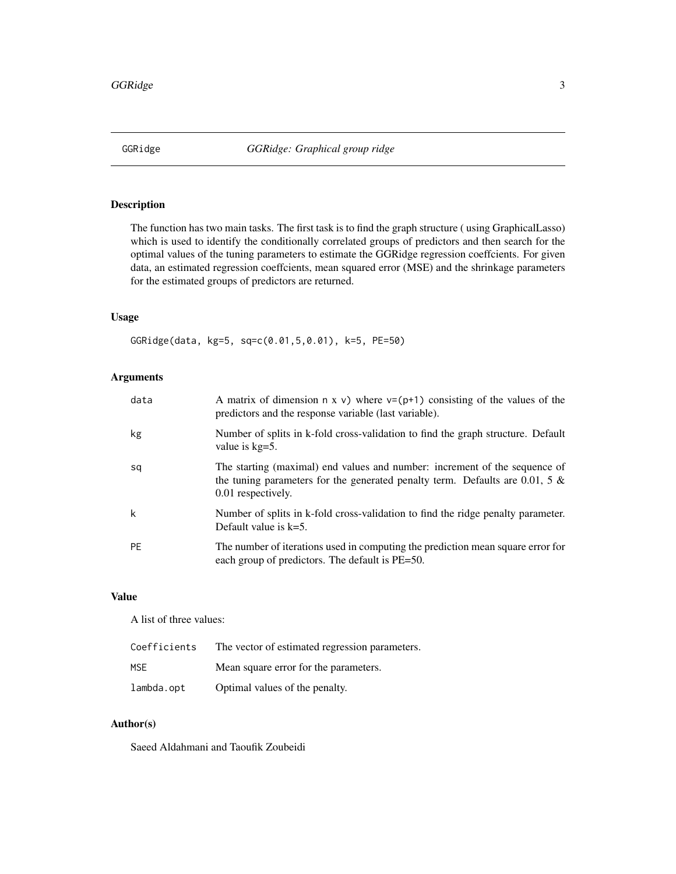<span id="page-2-0"></span>

#### Description

The function has two main tasks. The first task is to find the graph structure ( using GraphicalLasso) which is used to identify the conditionally correlated groups of predictors and then search for the optimal values of the tuning parameters to estimate the GGRidge regression coeffcients. For given data, an estimated regression coeffcients, mean squared error (MSE) and the shrinkage parameters for the estimated groups of predictors are returned.

#### Usage

GGRidge(data, kg=5, sq=c(0.01,5,0.01), k=5, PE=50)

#### Arguments

| data      | A matrix of dimension $n \times v$ ) where $v=(p+1)$ consisting of the values of the<br>predictors and the response variable (last variable).                                       |
|-----------|-------------------------------------------------------------------------------------------------------------------------------------------------------------------------------------|
| kg        | Number of splits in k-fold cross-validation to find the graph structure. Default<br>value is $kg=5$ .                                                                               |
| sq        | The starting (maximal) end values and number: increment of the sequence of<br>the tuning parameters for the generated penalty term. Defaults are 0.01, 5 $\&$<br>0.01 respectively. |
| k         | Number of splits in k-fold cross-validation to find the ridge penalty parameter.<br>Default value is $k=5$ .                                                                        |
| <b>PE</b> | The number of iterations used in computing the prediction mean square error for<br>each group of predictors. The default is PE=50.                                                  |

#### Value

A list of three values:

| Coefficients | The vector of estimated regression parameters. |
|--------------|------------------------------------------------|
| MSE.         | Mean square error for the parameters.          |
| lambda.opt   | Optimal values of the penalty.                 |

#### Author(s)

Saeed Aldahmani and Taoufik Zoubeidi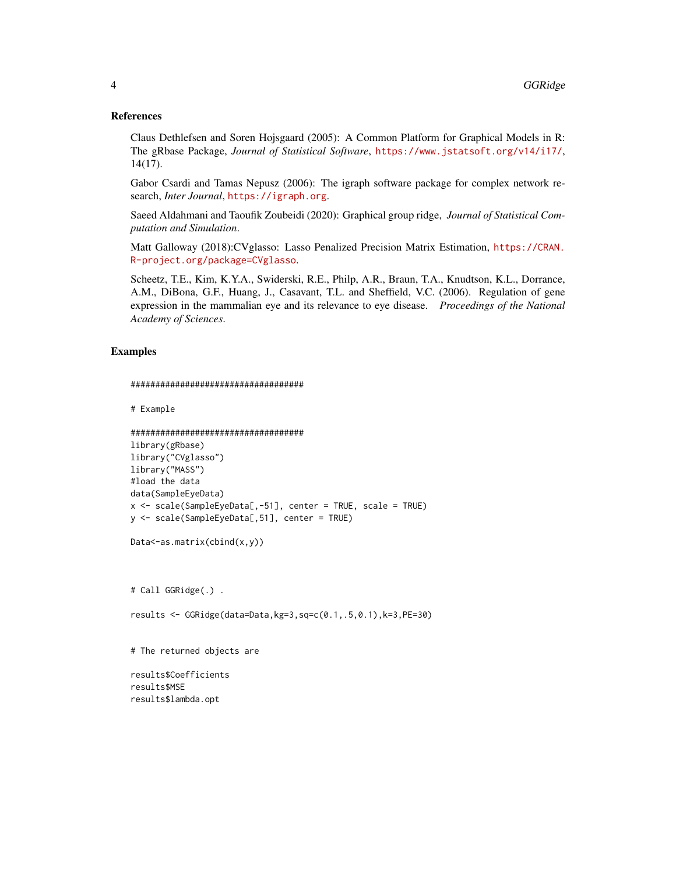#### References

Claus Dethlefsen and Soren Hojsgaard (2005): A Common Platform for Graphical Models in R: The gRbase Package, *Journal of Statistical Software*, <https://www.jstatsoft.org/v14/i17/>, 14(17).

Gabor Csardi and Tamas Nepusz (2006): The igraph software package for complex network research, *Inter Journal*, <https://igraph.org>.

Saeed Aldahmani and Taoufik Zoubeidi (2020): Graphical group ridge, *Journal of Statistical Computation and Simulation*.

Matt Galloway (2018):CVglasso: Lasso Penalized Precision Matrix Estimation, [https://CRAN.](https://CRAN.R-project.org/package=CVglasso) [R-project.org/package=CVglasso](https://CRAN.R-project.org/package=CVglasso).

Scheetz, T.E., Kim, K.Y.A., Swiderski, R.E., Philp, A.R., Braun, T.A., Knudtson, K.L., Dorrance, A.M., DiBona, G.F., Huang, J., Casavant, T.L. and Sheffield, V.C. (2006). Regulation of gene expression in the mammalian eye and its relevance to eye disease. *Proceedings of the National Academy of Sciences*.

#### Examples

```
###################################
```

```
# Example
```

```
###################################
library(gRbase)
library("CVglasso")
library("MASS")
#load the data
data(SampleEyeData)
x <- scale(SampleEyeData[,-51], center = TRUE, scale = TRUE)
y <- scale(SampleEyeData[,51], center = TRUE)
```

```
Data<-as.matrix(cbind(x,y))
```
# Call GGRidge(.) .

```
results <- GGRidge(data=Data,kg=3,sq=c(0.1,.5,0.1),k=3,PE=30)
```
# The returned objects are

results\$Coefficients results\$MSE results\$lambda.opt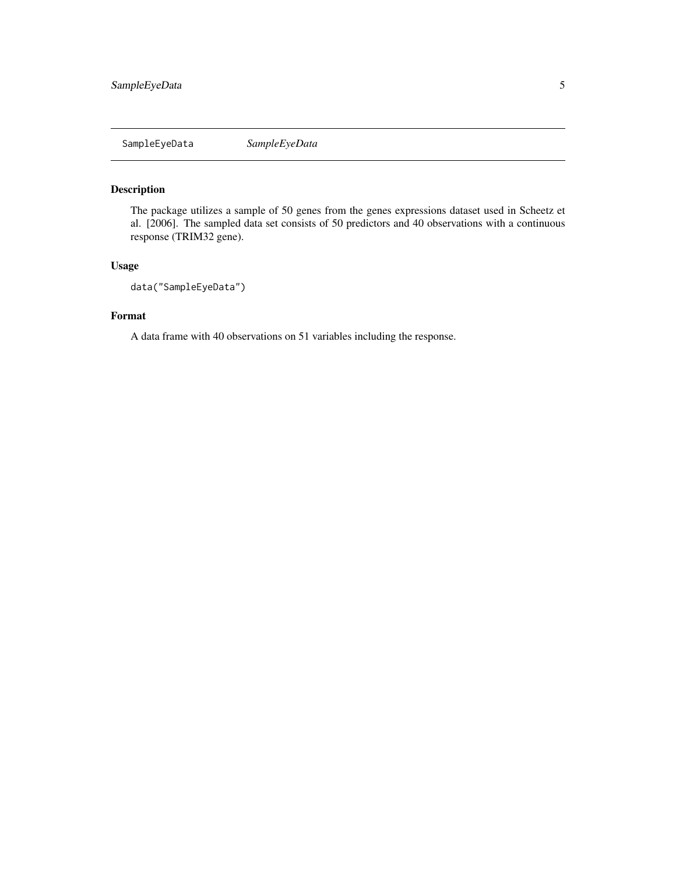<span id="page-4-0"></span>SampleEyeData *SampleEyeData*

#### Description

The package utilizes a sample of 50 genes from the genes expressions dataset used in Scheetz et al. [2006]. The sampled data set consists of 50 predictors and 40 observations with a continuous response (TRIM32 gene).

#### Usage

```
data("SampleEyeData")
```
#### Format

A data frame with 40 observations on 51 variables including the response.